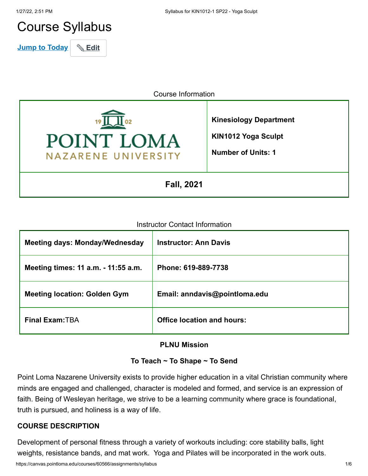# Course Syllabus

**Jump to Today** & Edit

Course Information



**Kinesiology Department**

**KIN1012 Yoga Sculpt Number of Units: 1**

**Fall, 2021**

#### Instructor Contact Information

| <b>Meeting days: Monday/Wednesday</b> | <b>Instructor: Ann Davis</b>      |
|---------------------------------------|-----------------------------------|
| Meeting times: 11 a.m. - 11:55 a.m.   | Phone: 619-889-7738               |
| <b>Meeting location: Golden Gym</b>   | Email: anndavis@pointloma.edu     |
| <b>Final Exam: TBA</b>                | <b>Office location and hours:</b> |

#### **PLNU Mission**

#### **To Teach ~ To Shape ~ To Send**

Point Loma Nazarene University exists to provide higher education in a vital Christian community where minds are engaged and challenged, character is modeled and formed, and service is an expression of faith. Being of Wesleyan heritage, we strive to be a learning community where grace is foundational, truth is pursued, and holiness is a way of life.

#### **COURSE DESCRIPTION**

Development of personal fitness through a variety of workouts including: core stability balls, light weights, resistance bands, and mat work. Yoga and Pilates will be incorporated in the work outs.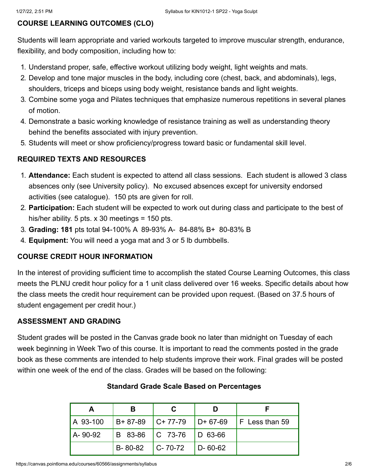# **COURSE LEARNING OUTCOMES (CLO)**

Students will learn appropriate and varied workouts targeted to improve muscular strength, endurance, flexibility, and body composition, including how to:

- 1. Understand proper, safe, effective workout utilizing body weight, light weights and mats.
- 2. Develop and tone major muscles in the body, including core (chest, back, and abdominals), legs, shoulders, triceps and biceps using body weight, resistance bands and light weights.
- 3. Combine some yoga and Pilates techniques that emphasize numerous repetitions in several planes of motion.
- 4. Demonstrate a basic working knowledge of resistance training as well as understanding theory behind the benefits associated with injury prevention.
- 5. Students will meet or show proficiency/progress toward basic or fundamental skill level.

# **REQUIRED TEXTS AND RESOURCES**

- 1. **Attendance:** Each student is expected to attend all class sessions. Each student is allowed 3 class absences only (see University policy). No excused absences except for university endorsed activities (see catalogue). 150 pts are given for roll.
- 2. **Participation:** Each student will be expected to work out during class and participate to the best of his/her ability. 5 pts.  $\times$  30 meetings = 150 pts.
- 3. **Grading: 181** pts total 94-100% A 89-93% A- 84-88% B+ 80-83% B
- 4. **Equipment:** You will need a yoga mat and 3 or 5 lb dumbbells.

#### **COURSE CREDIT HOUR INFORMATION**

In the interest of providing sufficient time to accomplish the stated Course Learning Outcomes, this class meets the PLNU credit hour policy for a 1 unit class delivered over 16 weeks. Specific details about how the class meets the credit hour requirement can be provided upon request. (Based on 37.5 hours of student engagement per credit hour.)

# **ASSESSMENT AND GRADING**

Student grades will be posted in the Canvas grade book no later than midnight on Tuesday of each week beginning in Week Two of this course. It is important to read the comments posted in the grade book as these comments are intended to help students improve their work. Final grades will be posted within one week of the end of the class. Grades will be based on the following:

| А        | в                     |                             |                  |                                         |
|----------|-----------------------|-----------------------------|------------------|-----------------------------------------|
| A 93-100 | $ B+ 87-89 $ C+ 77-79 |                             |                  | $\vert$ D+ 67-69 $\vert$ F Less than 59 |
| A-90-92  |                       | B 83-86   C 73-76   D 63-66 |                  |                                         |
|          | $B-80-82$ $C-70-72$   |                             | $\vert$ D- 60-62 |                                         |

#### **Standard Grade Scale Based on Percentages**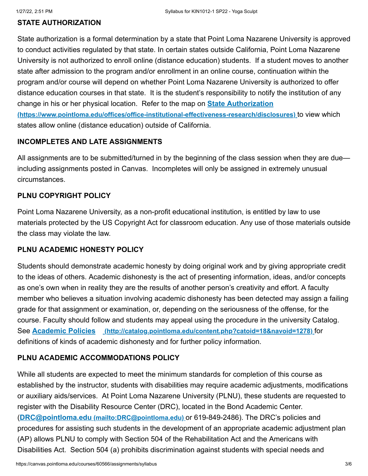# **STATE AUTHORIZATION**

State authorization is a formal determination by a state that Point Loma Nazarene University is approved to conduct activities regulated by that state. In certain states outside California, Point Loma Nazarene University is not authorized to enroll online (distance education) students. If a student moves to another state after admission to the program and/or enrollment in an online course, continuation within the program and/or course will depend on whether Point Loma Nazarene University is authorized to offer distance education courses in that state. It is the student's responsibility to notify the institution of any change in his or her physical location. Refer to the map on **State Authorization [\(https://www.pointloma.edu/offices/office-institutional-effectiveness-research/disclosures\)](https://www.pointloma.edu/offices/office-institutional-effectiveness-research/disclosures)** to view which states allow online (distance education) outside of California.

#### **INCOMPLETES AND LATE ASSIGNMENTS**

All assignments are to be submitted/turned in by the beginning of the class session when they are due including assignments posted in Canvas. Incompletes will only be assigned in extremely unusual circumstances.

#### **PLNU COPYRIGHT POLICY**

Point Loma Nazarene University, as a non-profit educational institution, is entitled by law to use materials protected by the US Copyright Act for classroom education. Any use of those materials outside the class may violate the law.

#### **PLNU ACADEMIC HONESTY POLICY**

Students should demonstrate academic honesty by doing original work and by giving appropriate credit to the ideas of others. Academic dishonesty is the act of presenting information, ideas, and/or concepts as one's own when in reality they are the results of another person's creativity and effort. A faculty member who believes a situation involving academic dishonesty has been detected may assign a failing grade for that assignment or examination, or, depending on the seriousness of the offense, for the course. Faculty should follow and students may appeal using the procedure in the university Catalog. See **Academic Policies [\(http://catalog.pointloma.edu/content.php?catoid=18&navoid=1278\)](http://catalog.pointloma.edu/content.php?catoid=18&navoid=1278)** for definitions of kinds of academic dishonesty and for further policy information.

#### **PLNU ACADEMIC ACCOMMODATIONS POLICY**

While all students are expected to meet the minimum standards for completion of this course as established by the instructor, students with disabilities may require academic adjustments, modifications or auxiliary aids/services. At Point Loma Nazarene University (PLNU), these students are requested to register with the Disability Resource Center (DRC), located in the Bond Academic Center. (**DRC@pointloma.edu [\(mailto:DRC@pointloma.edu\)](mailto:DRC@pointloma.edu)** or 619-849-2486). The DRC's policies and procedures for assisting such students in the development of an appropriate academic adjustment plan (AP) allows PLNU to comply with Section 504 of the Rehabilitation Act and the Americans with Disabilities Act. Section 504 (a) prohibits discrimination against students with special needs and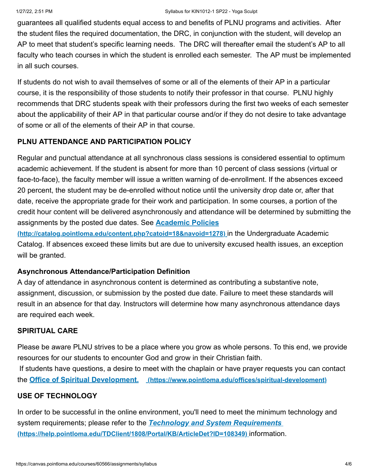guarantees all qualified students equal access to and benefits of PLNU programs and activities. After the student files the required documentation, the DRC, in conjunction with the student, will develop an AP to meet that student's specific learning needs. The DRC will thereafter email the student's AP to all faculty who teach courses in which the student is enrolled each semester. The AP must be implemented in all such courses.

If students do not wish to avail themselves of some or all of the elements of their AP in a particular course, it is the responsibility of those students to notify their professor in that course. PLNU highly recommends that DRC students speak with their professors during the first two weeks of each semester about the applicability of their AP in that particular course and/or if they do not desire to take advantage of some or all of the elements of their AP in that course.

# **PLNU ATTENDANCE AND PARTICIPATION POLICY**

Regular and punctual attendance at all synchronous class sessions is considered essential to optimum academic achievement. If the student is absent for more than 10 percent of class sessions (virtual or face-to-face), the faculty member will issue a written warning of de-enrollment. If the absences exceed 20 percent, the student may be de-enrolled without notice until the university drop date or, after that date, receive the appropriate grade for their work and participation. In some courses, a portion of the credit hour content will be delivered asynchronously and attendance will be determined by submitting the assignments by the posted due dates. See **Academic Policies**

**[\(http://catalog.pointloma.edu/content.php?catoid=18&navoid=1278\)](http://catalog.pointloma.edu/content.php?catoid=18&navoid=1278)** in the Undergraduate Academic Catalog. If absences exceed these limits but are due to university excused health issues, an exception will be granted.

# **Asynchronous Attendance/Participation Definition**

A day of attendance in asynchronous content is determined as contributing a substantive note, assignment, discussion, or submission by the posted due date. Failure to meet these standards will result in an absence for that day. Instructors will determine how many asynchronous attendance days are required each week.

# **SPIRITUAL CARE**

Please be aware PLNU strives to be a place where you grow as whole persons. To this end, we provide resources for our students to encounter God and grow in their Christian faith. If students have questions, a desire to meet with the chaplain or have prayer requests you can contact the **Office of Spiritual Development. [\(https://www.pointloma.edu/offices/spiritual-development\)](https://www.pointloma.edu/offices/spiritual-development)**

# **USE OF TECHNOLOGY**

In order to be successful in the online environment, you'll need to meet the minimum technology and system requirements; please refer to the *Technology and System Requirements*  **[\(https://help.pointloma.edu/TDClient/1808/Portal/KB/ArticleDet?ID=108349\)](https://help.pointloma.edu/TDClient/1808/Portal/KB/ArticleDet?ID=108349)** information.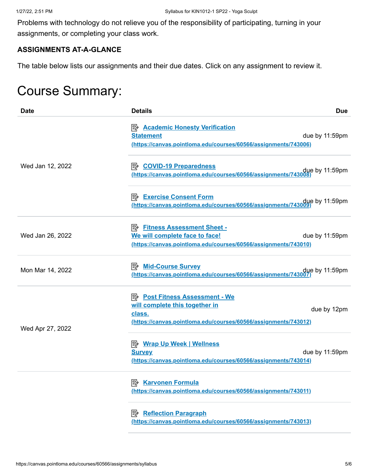Problems with technology do not relieve you of the responsibility of participating, turning in your assignments, or completing your class work.

# **ASSIGNMENTS AT-A-GLANCE**

The table below lists our assignments and their due dates. Click on any assignment to review it.

# Course Summary:

| <b>Date</b>      | <b>Details</b>                                                                                                                                       | <b>Due</b>       |
|------------------|------------------------------------------------------------------------------------------------------------------------------------------------------|------------------|
|                  | <b>E <u>Academic Honesty Verification</u></b><br><b>Statement</b><br>(https://canvas.pointloma.edu/courses/60566/assignments/743006)                 | due by 11:59pm   |
| Wed Jan 12, 2022 | <b>B</b> COVID-19 Preparedness<br>https://canvas.pointloma.edu/courses/60566/assignments/743008                                                      | $que$ by 11:59pm |
|                  | due by 11:59pm.//https://canvas.pointloma.edu/courses/60566/assignments/743009.                                                                      |                  |
| Wed Jan 26, 2022 | <b>B</b> Fitness Assessment Sheet -<br>We will complete face to face!<br>(https://canvas.pointloma.edu/courses/60566/assignments/743010)             | due by 11:59pm   |
| Mon Mar 14, 2022 | https://canvas.pointloma.edu/courses/60566/assignments/743007                                                                                        | due by 11:59pm   |
| Wed Apr 27, 2022 | <b>E</b> Post Fitness Assessment - We<br>will complete this together in<br>class.<br>(https://canvas.pointloma.edu/courses/60566/assignments/743012) | due by 12pm      |
|                  | <b>E</b> Wrap Up Week   Wellness<br><b>Survey</b><br>(https://canvas.pointloma.edu/courses/60566/assignments/743014)                                 | due by 11:59pm   |
|                  | <b>B</b> Karvonen Formula<br>(https://canvas.pointloma.edu/courses/60566/assignments/743011)                                                         |                  |
|                  | <b>B</b> Reflection Paragraph<br>(https://canvas.pointloma.edu/courses/60566/assignments/743013)                                                     |                  |